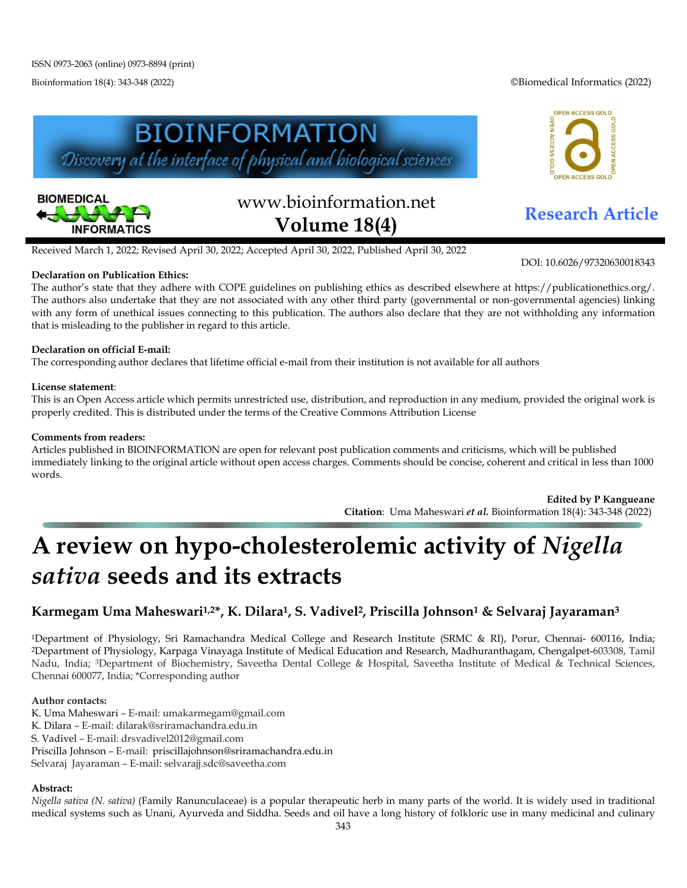Bioinformation 18(4): 343-348 (2022) ©Biomedical Informatics (2022)

OPEN ACCESS GOLD

ACCESS GOI





# www.bioinformation.net **Research Article Volume 18(4)**

Received March 1, 2022; Revised April 30, 2022; Accepted April 30, 2022, Published April 30, 2022

### **Declaration on Publication Ethics:**

The author's state that they adhere with COPE guidelines on publishing ethics as described elsewhere at https://publicationethics.org/. The authors also undertake that they are not associated with any other third party (governmental or non-governmental agencies) linking with any form of unethical issues connecting to this publication. The authors also declare that they are not withholding any information that is misleading to the publisher in regard to this article.

### **Declaration on official E-mail:**

The corresponding author declares that lifetime official e-mail from their institution is not available for all authors

### **License statement**:

This is an Open Access article which permits unrestricted use, distribution, and reproduction in any medium, provided the original work is properly credited. This is distributed under the terms of the Creative Commons Attribution License

### **Comments from readers:**

Articles published in BIOINFORMATION are open for relevant post publication comments and criticisms, which will be published immediately linking to the original article without open access charges. Comments should be concise, coherent and critical in less than 1000 words.

> **Edited by P Kangueane Citation**: Uma Maheswari *et al.* Bioinformation 18(4): 343-348 (2022)

# **A review on hypo-cholesterolemic activity of** *Nigella sativa* **seeds and its extracts**

## **Karmegam Uma Maheswari1,2\*, K. Dilara1, S. Vadivel2, Priscilla Johnson1 & Selvaraj Jayaraman3**

1Department of Physiology, Sri Ramachandra Medical College and Research Institute (SRMC & RI), Porur, Chennai- 600116, India; 2Department of Physiology, Karpaga Vinayaga Institute of Medical Education and Research, Madhuranthagam, Chengalpet-603308, Tamil Nadu, India; 3Department of Biochemistry, Saveetha Dental College & Hospital, Saveetha Institute of Medical & Technical Sciences, Chennai 600077, India; \*Corresponding author

### **Author contacts:**

- K. Uma Maheswari E-mail: umakarmegam@gmail.com
- K. Dilara E-mail: dilarak@sriramachandra.edu.in
- S. Vadivel E-mail: drsvadivel2012@gmail.com
- Priscilla Johnson E-mail: priscillajohnson@sriramachandra.edu.in

Selvaraj Jayaraman – E-mail: selvarajj.sdc@saveetha.com

### **Abstract:**

*Nigella sativa (N. sativa)* (Family Ranunculaceae) is a popular therapeutic herb in many parts of the world. It is widely used in traditional medical systems such as Unani, Ayurveda and Siddha. Seeds and oil have a long history of folkloric use in many medicinal and culinary

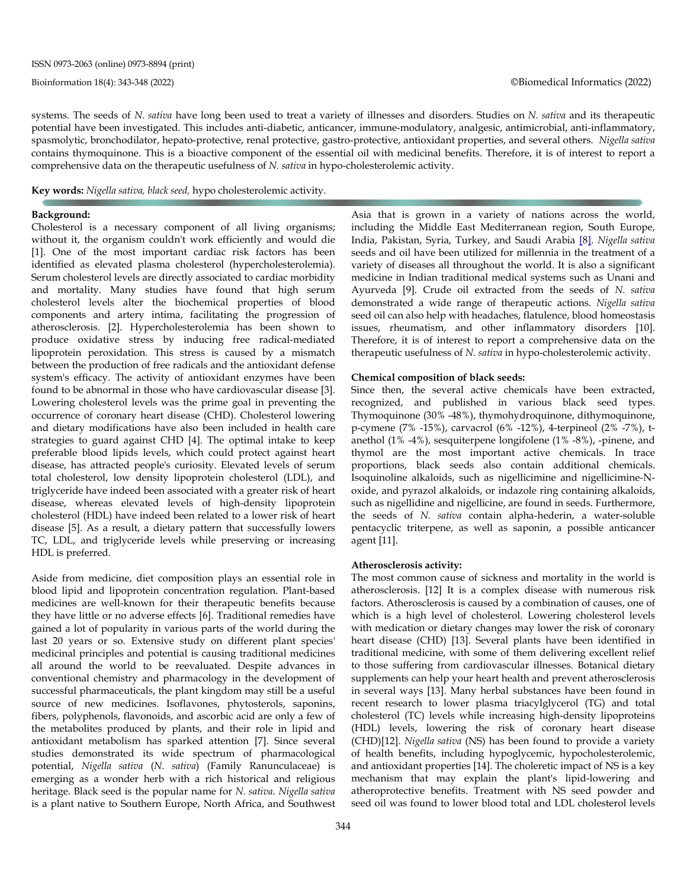systems. The seeds of *N. sativa* have long been used to treat a variety of illnesses and disorders*.* Studies on *N. sativa* and its therapeutic potential have been investigated. This includes anti-diabetic, anticancer, immune-modulatory, analgesic, antimicrobial, anti-inflammatory, spasmolytic, bronchodilator, hepato-protective, renal protective, gastro-protective, antioxidant properties, and several others. *Nigella sativa* contains thymoquinone. This is a bioactive component of the essential oil with medicinal benefits. Therefore, it is of interest to report a comprehensive data on the therapeutic usefulness of *N. sativa* in hypo-cholesterolemic activity.

**Key words:** *Nigella sativa, black seed,* hypo cholesterolemic activity.

#### **Background:**

Cholesterol is a necessary component of all living organisms; without it, the organism couldn't work efficiently and would die [1]. One of the most important cardiac risk factors has been identified as elevated plasma cholesterol (hypercholesterolemia). Serum cholesterol levels are directly associated to cardiac morbidity and mortality. Many studies have found that high serum cholesterol levels alter the biochemical properties of blood components and artery intima, facilitating the progression of atherosclerosis. [2]. Hypercholesterolemia has been shown to produce oxidative stress by inducing free radical-mediated lipoprotein peroxidation. This stress is caused by a mismatch between the production of free radicals and the antioxidant defense system's efficacy. The activity of antioxidant enzymes have been found to be abnormal in those who have cardiovascular disease [3]. Lowering cholesterol levels was the prime goal in preventing the occurrence of coronary heart disease (CHD). Cholesterol lowering and dietary modifications have also been included in health care strategies to guard against CHD [4]. The optimal intake to keep preferable blood lipids levels, which could protect against heart disease, has attracted people's curiosity. Elevated levels of serum total cholesterol, low density lipoprotein cholesterol (LDL), and triglyceride have indeed been associated with a greater risk of heart disease, whereas elevated levels of high-density lipoprotein cholesterol (HDL) have indeed been related to a lower risk of heart disease [5]. As a result, a dietary pattern that successfully lowers TC, LDL, and triglyceride levels while preserving or increasing HDL is preferred.

Aside from medicine, diet composition plays an essential role in blood lipid and lipoprotein concentration regulation. Plant-based medicines are well-known for their therapeutic benefits because they have little or no adverse effects [6]. Traditional remedies have gained a lot of popularity in various parts of the world during the last 20 years or so. Extensive study on different plant species' medicinal principles and potential is causing traditional medicines all around the world to be reevaluated. Despite advances in conventional chemistry and pharmacology in the development of successful pharmaceuticals, the plant kingdom may still be a useful source of new medicines. Isoflavones, phytosterols, saponins, fibers, polyphenols, flavonoids, and ascorbic acid are only a few of the metabolites produced by plants, and their role in lipid and antioxidant metabolism has sparked attention [7]. Since several studies demonstrated its wide spectrum of pharmacological potential, *Nigella sativa* (*N. sativa*) (Family Ranunculaceae) is emerging as a wonder herb with a rich historical and religious heritage. Black seed is the popular name for *N. sativa*. *Nigella sativa* is a plant native to Southern Europe, North Africa, and Southwest

344

Asia that is grown in a variety of nations across the world, including the Middle East Mediterranean region, South Europe, India, Pakistan, Syria, Turkey, and Saudi Arabia [\[8\].](https://www.ncbi.nlm.nih.gov/pmc/articles/PMC3642442/#b1) *Nigella sativa* seeds and oil have been utilized for millennia in the treatment of a variety of diseases all throughout the world. It is also a significant medicine in Indian traditional medical systems such as Unani and Ayurveda [9]. Crude oil extracted from the seeds of *N. sativa* demonstrated a wide range of therapeutic actions. *Nigella sativa* seed oil can also help with headaches, flatulence, blood homeostasis issues, rheumatism, and other inflammatory disorders [10]. Therefore, it is of interest to report a comprehensive data on the therapeutic usefulness of *N. sativa* in hypo-cholesterolemic activity.

#### **Chemical composition of black seeds:**

Since then, the several active chemicals have been extracted, recognized, and published in various black seed types. Thymoquinone (30% -48%), thymohydroquinone, dithymoquinone, p-cymene (7% -15%), carvacrol (6% -12%), 4-terpineol (2% -7%), tanethol (1% -4%), sesquiterpene longifolene (1% -8%), -pinene, and thymol are the most important active chemicals. In trace proportions, black seeds also contain additional chemicals. Isoquinoline alkaloids, such as nigellicimine and nigellicimine-Noxide, and pyrazol alkaloids, or indazole ring containing alkaloids, such as nigellidine and nigellicine, are found in seeds. Furthermore, the seeds of *N. sativa* contain alpha-hederin, a water-soluble pentacyclic triterpene, as well as saponin, a possible anticancer agent [11].

#### **Atherosclerosis activity:**

The most common cause of sickness and mortality in the world is atherosclerosis. [12] It is a complex disease with numerous risk factors. Atherosclerosis is caused by a combination of causes, one of which is a high level of cholesterol. Lowering cholesterol levels with medication or dietary changes may lower the risk of coronary heart disease (CHD) [13]. Several plants have been identified in traditional medicine, with some of them delivering excellent relief to those suffering from cardiovascular illnesses. Botanical dietary supplements can help your heart health and prevent atherosclerosis in several ways [13]. Many herbal substances have been found in recent research to lower plasma triacylglycerol (TG) and total cholesterol (TC) levels while increasing high-density lipoproteins (HDL) levels, lowering the risk of coronary heart disease (CHD)[12]. *Nigella sativa* (NS) has been found to provide a variety of health benefits, including hypoglycemic, hypocholesterolemic, and antioxidant properties [14]. The choleretic impact of NS is a key mechanism that may explain the plant's lipid-lowering and atheroprotective benefits. Treatment with NS seed powder and seed oil was found to lower blood total and LDL cholesterol levels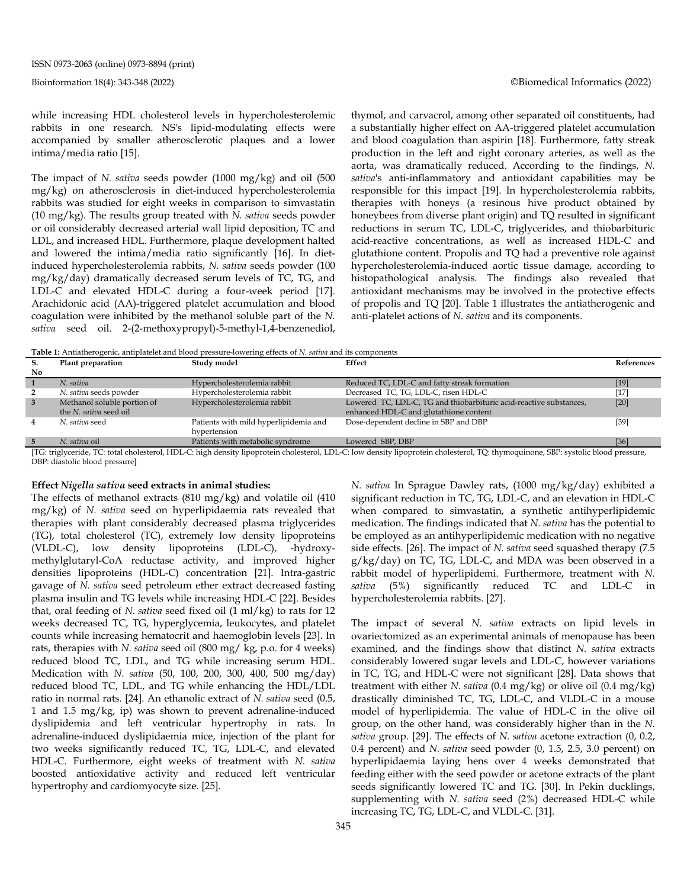while increasing HDL cholesterol levels in hypercholesterolemic rabbits in one research. NS's lipid-modulating effects were accompanied by smaller atherosclerotic plaques and a lower intima/media ratio [15].

The impact of *N. sativa* seeds powder (1000 mg/kg) and oil (500 mg/kg) on atherosclerosis in diet-induced hypercholesterolemia rabbits was studied for eight weeks in comparison to simvastatin (10 mg/kg). The results group treated with *N. sativa* seeds powder or oil considerably decreased arterial wall lipid deposition, TC and LDL, and increased HDL. Furthermore, plaque development halted and lowered the intima/media ratio significantly [16]. In dietinduced hypercholesterolemia rabbits, *N. sativa* seeds powder (100 mg/kg/day) dramatically decreased serum levels of TC, TG, and LDL-C and elevated HDL-C during a four-week period [17]. Arachidonic acid (AA)-triggered platelet accumulation and blood coagulation were inhibited by the methanol soluble part of the *N. sativa* seed oil. 2-(2-methoxypropyl)-5-methyl-1,4-benzenediol,

thymol, and carvacrol, among other separated oil constituents, had a substantially higher effect on AA-triggered platelet accumulation and blood coagulation than aspirin [18]. Furthermore, fatty streak production in the left and right coronary arteries, as well as the aorta, was dramatically reduced. According to the findings, *N. sativa*'s anti-inflammatory and antioxidant capabilities may be responsible for this impact [19]. In hypercholesterolemia rabbits, therapies with honeys (a resinous hive product obtained by honeybees from diverse plant origin) and TQ resulted in significant reductions in serum TC, LDL-C, triglycerides, and thiobarbituric acid-reactive concentrations, as well as increased HDL-C and glutathione content. Propolis and TQ had a preventive role against hypercholesterolemia-induced aortic tissue damage, according to histopathological analysis. The findings also revealed that antioxidant mechanisms may be involved in the protective effects of propolis and TQ [20]. Table 1 illustrates the antiatherogenic and anti-platelet actions of *N. sativa* and its components.

**Table 1:** Antiatherogenic, antiplatelet and blood pressure-lowering effects of *N. sativa* and its components

| S. | Plant preparation           | Study model                           | Effect                                                             | References |
|----|-----------------------------|---------------------------------------|--------------------------------------------------------------------|------------|
| No |                             |                                       |                                                                    |            |
|    | N. sativa                   | Hypercholesterolemia rabbit           | Reduced TC, LDL-C and fatty streak formation                       | $[19]$     |
|    | N. sativa seeds powder      | Hypercholesterolemia rabbit           | Decreased TC, TG, LDL-C, risen HDL-C                               | [17]       |
| 3  | Methanol soluble portion of | Hypercholesterolemia rabbit           | Lowered TC, LDL-C, TG and thiobarbituric acid-reactive substances, | $[20]$     |
|    | the N. sativa seed oil      |                                       | enhanced HDL-C and glutathione content                             |            |
| 4  | N. sativa seed              | Patients with mild hyperlipidemia and | Dose-dependent decline in SBP and DBP                              | $[39]$     |
|    |                             | hypertension                          |                                                                    |            |
|    | N. sativa oil               | Patients with metabolic syndrome      | Lowered SBP, DBP                                                   | [36]       |

[TG: triglyceride, TC: total cholesterol, HDL-C: high density lipoprotein cholesterol, LDL-C: low density lipoprotein cholesterol, TQ: thymoquinone, SBP: systolic blood pressure, DBP: diastolic blood pressure]

#### **Effect** *Nigella sativa* **seed extracts in animal studies:**

The effects of methanol extracts (810 mg/kg) and volatile oil (410 mg/kg) of *N. sativa* seed on hyperlipidaemia rats revealed that therapies with plant considerably decreased plasma triglycerides (TG), total cholesterol (TC), extremely low density lipoproteins (VLDL-C), low density lipoproteins (LDL-C), -hydroxymethylglutaryl-CoA reductase activity, and improved higher densities lipoproteins (HDL-C) concentration [21]. Intra-gastric gavage of *N. sativa* seed petroleum ether extract decreased fasting plasma insulin and TG levels while increasing HDL-C [22]. Besides that, oral feeding of *N. sativa* seed fixed oil (1 ml/kg) to rats for 12 weeks decreased TC, TG, hyperglycemia, leukocytes, and platelet counts while increasing hematocrit and haemoglobin levels [23]. In rats, therapies with *N. sativa* seed oil (800 mg/ kg, p.o. for 4 weeks) reduced blood TC, LDL, and TG while increasing serum HDL. Medication with *N. sativa* (50, 100, 200, 300, 400, 500 mg/day) reduced blood TC, LDL, and TG while enhancing the HDL/LDL ratio in normal rats. [24]. An ethanolic extract of *N. sativa* seed (0.5, 1 and 1.5 mg/kg, ip) was shown to prevent adrenaline-induced dyslipidemia and left ventricular hypertrophy in rats. In adrenaline-induced dyslipidaemia mice, injection of the plant for two weeks significantly reduced TC, TG, LDL-C, and elevated HDL-C. Furthermore, eight weeks of treatment with *N. sativa* boosted antioxidative activity and reduced left ventricular hypertrophy and cardiomyocyte size. [25].

*N. sativa* In Sprague Dawley rats, (1000 mg/kg/day) exhibited a significant reduction in TC, TG, LDL-C, and an elevation in HDL-C when compared to simvastatin, a synthetic antihyperlipidemic medication. The findings indicated that *N. sativa* has the potential to be employed as an antihyperlipidemic medication with no negative side effects*.* [26]. The impact of *N. sativa* seed squashed therapy (7.5 g/kg/day) on TC, TG, LDL-C, and MDA was been observed in a rabbit model of hyperlipidemi. Furthermore, treatment with *N. sativa* (5%) significantly reduced TC and LDL-C in hypercholesterolemia rabbits. [27].

The impact of several *N. sativa* extracts on lipid levels in ovariectomized as an experimental animals of menopause has been examined, and the findings show that distinct *N. sativa* extracts considerably lowered sugar levels and LDL-C, however variations in TC, TG, and HDL-C were not significant [28]. Data shows that treatment with either *N. sativa* (0.4 mg/kg) or olive oil (0.4 mg/kg) drastically diminished TC, TG, LDL-C, and VLDL-C in a mouse model of hyperlipidemia. The value of HDL-C in the olive oil group, on the other hand, was considerably higher than in the *N. sativa* group. [29]. The effects of *N. sativa* acetone extraction (0, 0.2, 0.4 percent) and *N. sativa* seed powder (0, 1.5, 2.5, 3.0 percent) on hyperlipidaemia laying hens over 4 weeks demonstrated that feeding either with the seed powder or acetone extracts of the plant seeds significantly lowered TC and TG. [30]. In Pekin ducklings, supplementing with *N. sativa* seed (2%) decreased HDL-C while increasing TC, TG, LDL-C, and VLDL-C. [31].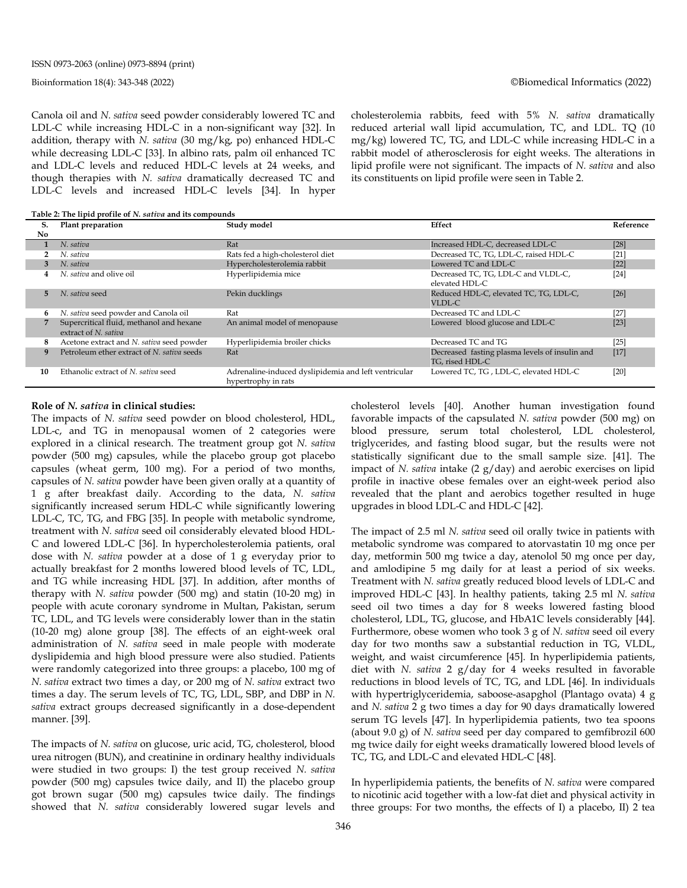Canola oil and *N. sativa* seed powder considerably lowered TC and LDL-C while increasing HDL-C in a non-significant way [32]. In addition, therapy with *N. sativa* (30 mg/kg, po) enhanced HDL-C while decreasing LDL-C [33]. In albino rats, palm oil enhanced TC and LDL-C levels and reduced HDL-C levels at 24 weeks, and though therapies with *N. sativa* dramatically decreased TC and LDL-C levels and increased HDL-C levels [34]. In hyper

cholesterolemia rabbits, feed with 5% *N. sativa* dramatically reduced arterial wall lipid accumulation, TC, and LDL. TQ (10 mg/kg) lowered TC, TG, and LDL-C while increasing HDL-C in a rabbit model of atherosclerosis for eight weeks. The alterations in lipid profile were not significant. The impacts of *N. sativa* and also its constituents on lipid profile were seen in Table 2.

**Table 2: The lipid profile of** *N. sativa* **and its compounds**

| S.  | Plant preparation                                                | Study model                                                                 | Effect                                                            | Reference |
|-----|------------------------------------------------------------------|-----------------------------------------------------------------------------|-------------------------------------------------------------------|-----------|
| No. |                                                                  |                                                                             |                                                                   |           |
|     | N. sativa                                                        | Rat                                                                         | Increased HDL-C, decreased LDL-C                                  | $[28]$    |
|     | N. sativa                                                        | Rats fed a high-cholesterol diet                                            | Decreased TC, TG, LDL-C, raised HDL-C                             | $[21]$    |
|     | N. sativa                                                        | Hypercholesterolemia rabbit                                                 | Lowered TC and LDL-C                                              | $[22]$    |
|     | N. sativa and olive oil                                          | Hyperlipidemia mice                                                         | Decreased TC, TG, LDL-C and VLDL-C,<br>elevated HDL-C             | $[24]$    |
| 5.  | N. sativa seed                                                   | Pekin ducklings                                                             | Reduced HDL-C, elevated TC, TG, LDL-C,<br>VLDL-C                  | $[26]$    |
| 6   | N. sativa seed powder and Canola oil                             | Rat                                                                         | Decreased TC and LDL-C                                            | $[27]$    |
|     | Supercritical fluid, methanol and hexane<br>extract of N. sativa | An animal model of menopause                                                | Lowered blood glucose and LDL-C                                   | $[23]$    |
| 8   | Acetone extract and N. sativa seed powder                        | Hyperlipidemia broiler chicks                                               | Decreased TC and TG                                               | $[25]$    |
| 9   | Petroleum ether extract of N. sativa seeds                       | Rat                                                                         | Decreased fasting plasma levels of insulin and<br>TG, rised HDL-C | $[17]$    |
| 10  | Ethanolic extract of N. sativa seed                              | Adrenaline-induced dyslipidemia and left ventricular<br>hypertrophy in rats | Lowered TC, TG, LDL-C, elevated HDL-C                             | [20]      |

#### **Role of** *N. sativa* **in clinical studies:**

The impacts of *N. sativa* seed powder on blood cholesterol, HDL, LDL-c, and TG in menopausal women of 2 categories were explored in a clinical research. The treatment group got *N. sativa* powder (500 mg) capsules, while the placebo group got placebo capsules (wheat germ, 100 mg). For a period of two months, capsules of *N. sativa* powder have been given orally at a quantity of 1 g after breakfast daily. According to the data, *N. sativa* significantly increased serum HDL-C while significantly lowering LDL-C, TC, TG, and FBG [35]. In people with metabolic syndrome, treatment with *N. sativa* seed oil considerably elevated blood HDL-C and lowered LDL-C [36]. In hypercholesterolemia patients, oral dose with *N. sativa* powder at a dose of 1 g everyday prior to actually breakfast for 2 months lowered blood levels of TC, LDL, and TG while increasing HDL [37]. In addition, after months of therapy with *N. sativa* powder (500 mg) and statin (10-20 mg) in people with acute coronary syndrome in Multan, Pakistan, serum TC, LDL, and TG levels were considerably lower than in the statin (10-20 mg) alone group [38]. The effects of an eight-week oral administration of *N. sativa* seed in male people with moderate dyslipidemia and high blood pressure were also studied. Patients were randomly categorized into three groups: a placebo, 100 mg of *N. sativa* extract two times a day, or 200 mg of *N. sativa* extract two times a day. The serum levels of TC, TG, LDL, SBP, and DBP in *N. sativa* extract groups decreased significantly in a dose-dependent manner. [39].

The impacts of *N. sativa* on glucose, uric acid, TG, cholesterol, blood urea nitrogen (BUN), and creatinine in ordinary healthy individuals were studied in two groups: I) the test group received *N. sativa* powder (500 mg) capsules twice daily, and II) the placebo group got brown sugar (500 mg) capsules twice daily. The findings showed that *N. sativa* considerably lowered sugar levels and cholesterol levels [40]. Another human investigation found favorable impacts of the capsulated *N. sativa* powder (500 mg) on blood pressure, serum total cholesterol, LDL cholesterol, triglycerides, and fasting blood sugar, but the results were not statistically significant due to the small sample size. [41]. The impact of *N. sativa* intake (2 g/day) and aerobic exercises on lipid profile in inactive obese females over an eight-week period also revealed that the plant and aerobics together resulted in huge upgrades in blood LDL-C and HDL-C [42].

The impact of 2.5 ml *N. sativa* seed oil orally twice in patients with metabolic syndrome was compared to atorvastatin 10 mg once per day, metformin 500 mg twice a day, atenolol 50 mg once per day, and amlodipine 5 mg daily for at least a period of six weeks. Treatment with *N. sativa* greatly reduced blood levels of LDL-C and improved HDL-C [43]. In healthy patients, taking 2.5 ml *N. sativa* seed oil two times a day for 8 weeks lowered fasting blood cholesterol, LDL, TG, glucose, and HbA1C levels considerably [44]. Furthermore, obese women who took 3 g of *N. sativa* seed oil every day for two months saw a substantial reduction in TG, VLDL, weight, and waist circumference [45]. In hyperlipidemia patients, diet with *N. sativa* 2 g/day for 4 weeks resulted in favorable reductions in blood levels of TC, TG, and LDL [46]. In individuals with hypertriglyceridemia, saboose-asapghol (Plantago ovata) 4 g and *N. sativa* 2 g two times a day for 90 days dramatically lowered serum TG levels [47]. In hyperlipidemia patients, two tea spoons (about 9.0 g) of *N. sativa* seed per day compared to gemfibrozil 600 mg twice daily for eight weeks dramatically lowered blood levels of TC, TG, and LDL-C and elevated HDL-C [48].

In hyperlipidemia patients, the benefits of *N. sativa* were compared to nicotinic acid together with a low-fat diet and physical activity in three groups: For two months, the effects of I) a placebo, II) 2 tea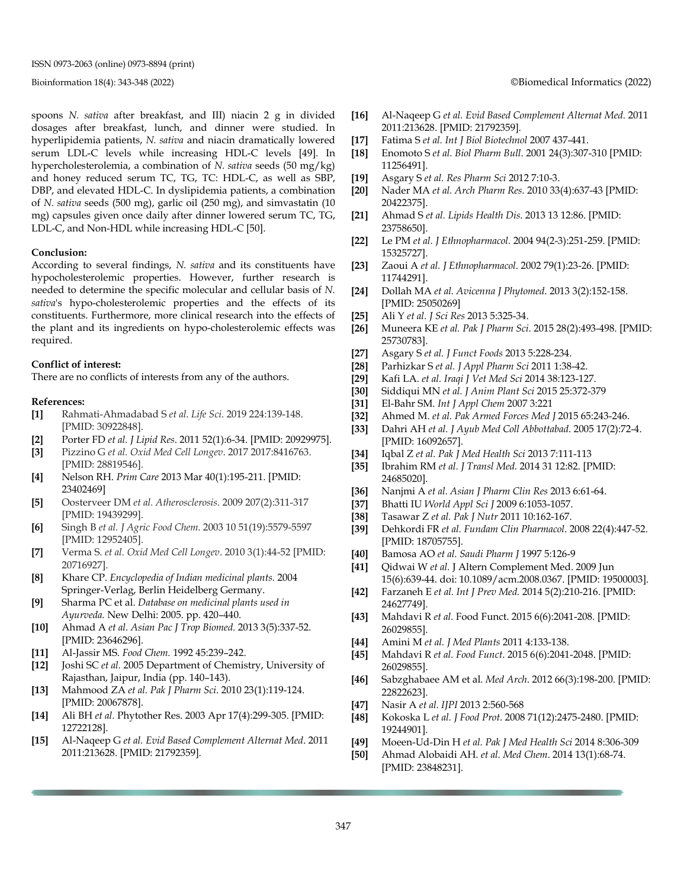#### Bioinformation 18(4): 343-348 (2022) ©Biomedical Informatics (2022)

spoons *N. sativa* after breakfast, and III) niacin 2 g in divided dosages after breakfast, lunch, and dinner were studied. In hyperlipidemia patients, *N. sativa* and niacin dramatically lowered serum LDL-C levels while increasing HDL-C levels [49]. In hypercholesterolemia, a combination of *N. sativa* seeds (50 mg/kg) and honey reduced serum TC, TG, TC: HDL-C, as well as SBP, DBP, and elevated HDL-C. In dyslipidemia patients, a combination of *N. sativa* seeds (500 mg), garlic oil (250 mg), and simvastatin (10 mg) capsules given once daily after dinner lowered serum TC, TG, LDL-C, and Non-HDL while increasing HDL-C [50].

#### **Conclusion:**

According to several findings, *N. sativa* and its constituents have hypocholesterolemic properties. However, further research is needed to determine the specific molecular and cellular basis of *N. sativa*'s hypo-cholesterolemic properties and the effects of its constituents. Furthermore, more clinical research into the effects of the plant and its ingredients on hypo-cholesterolemic effects was required.

#### **Conflict of interest:**

There are no conflicts of interests from any of the authors.

#### **References:**

- **[1]** Rahmati-Ahmadabad S *et al. Life Sci*. 2019 224:139-148. [PMID: 30922848].
- **[2]** Porter FD *et al. J Lipid Res*. 2011 52(1):6-34. [PMID: 20929975].
- **[3]** Pizzino G *et al. Oxid Med Cell Longev*. 2017 2017:8416763. [PMID: 28819546].
- **[4]** Nelson RH. *Prim Care* 2013 Mar 40(1):195-211. [PMID: 23402469]
- **[5]** Oosterveer DM *et al. Atherosclerosis.* 2009 207(2):311-317 [PMID: 19439299].
- **[6]** Singh B *et al. J Agric Food Chem*. 2003 10 51(19):5579-5597 [PMID: 12952405].
- **[7]** Verma S. *et al. Oxid Med Cell Longev*. 2010 3(1):44-52 [PMID: 20716927].
- **[8]** Khare CP. *Encyclopedia of Indian medicinal plants.* 2004 Springer-Verlag, Berlin Heidelberg Germany.
- **[9]** Sharma PC et al. *Database on medicinal plants used in Ayurveda.* New Delhi: 2005. pp. 420–440.
- **[10]** Ahmad A *et al. Asian Pac J Trop Biomed.* 2013 3(5):337-52. [PMID: 23646296].
- **[11]** Al-Jassir MS. *Food Chem.* 1992 45:239–242.
- **[12]** Joshi SC *et al.* 2005 Department of Chemistry, University of Rajasthan, Jaipur, India (pp. 140–143).
- **[13]** Mahmood ZA *et al. Pak J Pharm Sci*. 2010 23(1):119-124. [PMID: 20067878].
- **[14]** Ali BH *et al.* Phytother Res. 2003 Apr 17(4):299-305. [PMID: 12722128].
- **[15]** Al-Naqeep G *et al. Evid Based Complement Alternat Med*. 2011 2011:213628. [PMID: 21792359].

- **[16]** Al-Naqeep G *et al. Evid Based Complement Alternat Med.* 2011 2011:213628. [PMID: 21792359].
- **[17]** Fatima S *et al. Int J Biol Biotechnol* 2007 437-441.
- **[18]** Enomoto S *et al. Biol Pharm Bull*. 2001 24(3):307-310 [PMID: 11256491].
- **[19]** Asgary S *et al. Res Pharm Sci* 2012 7:10-3.
- **[20]** Nader MA *et al. Arch Pharm Res.* 2010 33(4):637-43 [PMID: 20422375].
- **[21]** Ahmad S *et al. Lipids Health Dis*. 2013 13 12:86. [PMID: 23758650].
- **[22]** Le PM *et al. J Ethnopharmacol.* 2004 94(2-3):251-259. [PMID: 15325727].
- **[23]** Zaoui A *et al. J Ethnopharmacol*. 2002 79(1):23-26. [PMID: 11744291].
- **[24]** Dollah MA *et al. Avicenna J Phytomed*. 2013 3(2):152-158. [PMID: 25050269]
- **[25]** Ali Y *et al. J Sci Res* 2013 5:325-34.
- **[26]** Muneera KE *et al. Pak J Pharm Sci*. 2015 28(2):493-498. [PMID: 25730783].
- **[27]** Asgary S *et al. J Funct Foods* 2013 5:228-234.
- **[28]** Parhizkar S *et al. J Appl Pharm Sci* 2011 1:38-42.
- **[29]** Kafi LA. *et al. Iraqi J Vet Med Sci* 2014 38:123-127.
- **[30]** Siddiqui MN *et al. J Anim Plant Sci* 2015 25:372-379
- **[31]** El-Bahr SM. *Int J Appl Chem* 2007 3:221
- **[32]** Ahmed M. *et al. Pak Armed Forces Med J* 2015 65:243-246.
- **[33]** Dahri AH *et al. J Ayub Med Coll Abbottabad*. 2005 17(2):72-4. [PMID: 16092657].
- **[34]** Iqbal Z *et al. Pak J Med Health Sci* 2013 7:111-113
- **[35]** Ibrahim RM *et al. J Transl Med.* 2014 31 12:82. [PMID: 24685020].
- **[36]** Nanjmi A *et al. Asian J Pharm Clin Res* 2013 6:61-64.
- **[37]** Bhatti IU *World Appl Sci J* 2009 6:1053-1057.
- **[38]** Tasawar Z *et al. Pak J Nutr* 2011 10:162-167.
- **[39]** Dehkordi FR *et al. Fundam Clin Pharmacol*. 2008 22(4):447-52. [PMID: 18705755].
- **[40]** Bamosa AO *et al. Saudi Pharm J* 1997 5:126-9
- **[41]** Qidwai W *et al.* J Altern Complement Med. 2009 Jun 15(6):639-44. doi: 10.1089/acm.2008.0367. [PMID: 19500003].
- **[42]** Farzaneh E *et al. Int J Prev Med.* 2014 5(2):210-216. [PMID: 24627749].
- **[43]** Mahdavi R *et al.* Food Funct. 2015 6(6):2041-208. [PMID: 26029855].
- **[44]** Amini M *et al. J Med Plants* 2011 4:133-138.
- **[45]** Mahdavi R *et al. Food Funct*. 2015 6(6):2041-2048. [PMID: 26029855].
- **[46]** Sabzghabaee AM et al*. Med Arch*. 2012 66(3):198-200. [PMID: 22822623].
- **[47]** Nasir A *et al. IJPI* 2013 2:560-568
- **[48]** Kokoska L *et al. J Food Prot*. 2008 71(12):2475-2480. [PMID: 19244901].
- **[49]** Moeen-Ud-Din H *et al. Pak J Med Health Sci* 2014 8:306-309
- **[50]** Ahmad Alobaidi AH. *et al. Med Chem*. 2014 13(1):68-74. [PMID: 23848231].